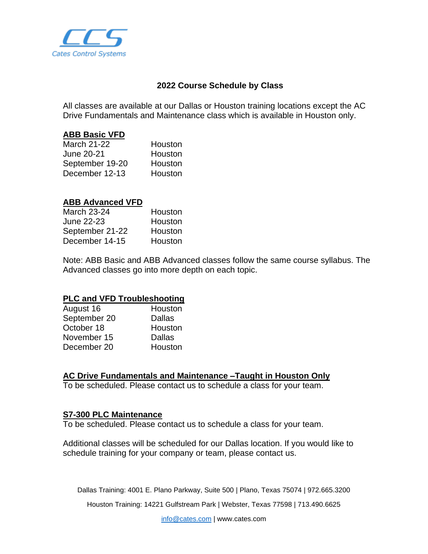

## **2022 Course Schedule by Class**

All classes are available at our Dallas or Houston training locations except the AC Drive Fundamentals and Maintenance class which is available in Houston only.

### **ABB Basic VFD**

| March 21-22     | Houston |
|-----------------|---------|
| June 20-21      | Houston |
| September 19-20 | Houston |
| December 12-13  | Houston |

### **ABB Advanced VFD**

| Houston |
|---------|
| Houston |
| Houston |
| Houston |
|         |

Note: ABB Basic and ABB Advanced classes follow the same course syllabus. The Advanced classes go into more depth on each topic.

#### **PLC and VFD Troubleshooting**

| Houston       |
|---------------|
| <b>Dallas</b> |
| Houston       |
| <b>Dallas</b> |
| Houston       |
|               |

# **AC Drive Fundamentals and Maintenance –Taught in Houston Only**

To be scheduled. Please contact us to schedule a class for your team.

#### **S7-300 PLC Maintenance**

To be scheduled. Please contact us to schedule a class for your team.

Additional classes will be scheduled for our Dallas location. If you would like to schedule training for your company or team, please contact us.

Dallas Training: 4001 E. Plano Parkway, Suite 500 | Plano, Texas 75074 | 972.665.3200

Houston Training: 14221 Gulfstream Park | Webster, Texas 77598 | 713.490.6625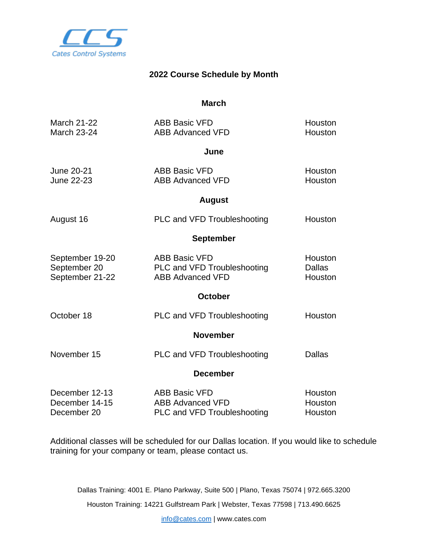

# **2022 Course Schedule by Month**

**March**

| <b>March 21-22</b><br><b>March 23-24</b>           | <b>ABB Basic VFD</b><br><b>ABB Advanced VFD</b>                                | Houston<br><b>Houston</b>           |
|----------------------------------------------------|--------------------------------------------------------------------------------|-------------------------------------|
|                                                    | June                                                                           |                                     |
| June 20-21<br><b>June 22-23</b>                    | <b>ABB Basic VFD</b><br><b>ABB Advanced VFD</b>                                | <b>Houston</b><br>Houston           |
| <b>August</b>                                      |                                                                                |                                     |
| August 16                                          | <b>PLC and VFD Troubleshooting</b>                                             | Houston                             |
| <b>September</b>                                   |                                                                                |                                     |
| September 19-20<br>September 20<br>September 21-22 | <b>ABB Basic VFD</b><br>PLC and VFD Troubleshooting<br><b>ABB Advanced VFD</b> | Houston<br><b>Dallas</b><br>Houston |
|                                                    | <b>October</b>                                                                 |                                     |
| October 18                                         | PLC and VFD Troubleshooting                                                    | Houston                             |
|                                                    | <b>November</b>                                                                |                                     |
| November 15                                        | PLC and VFD Troubleshooting                                                    | <b>Dallas</b>                       |
|                                                    | <b>December</b>                                                                |                                     |
| December 12-13<br>December 14-15<br>December 20    | <b>ABB Basic VFD</b><br><b>ABB Advanced VFD</b><br>PLC and VFD Troubleshooting | Houston<br>Houston<br>Houston       |

Additional classes will be scheduled for our Dallas location. If you would like to schedule training for your company or team, please contact us.

Dallas Training: 4001 E. Plano Parkway, Suite 500 | Plano, Texas 75074 | 972.665.3200

Houston Training: 14221 Gulfstream Park | Webster, Texas 77598 | 713.490.6625